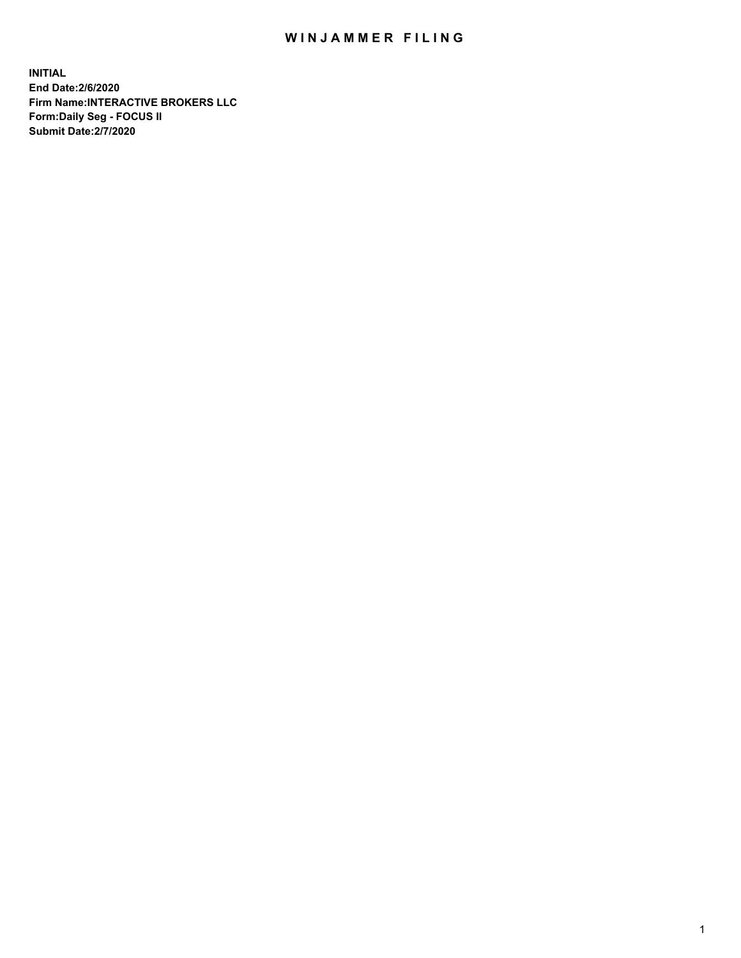## WIN JAMMER FILING

**INITIAL End Date:2/6/2020 Firm Name:INTERACTIVE BROKERS LLC Form:Daily Seg - FOCUS II Submit Date:2/7/2020**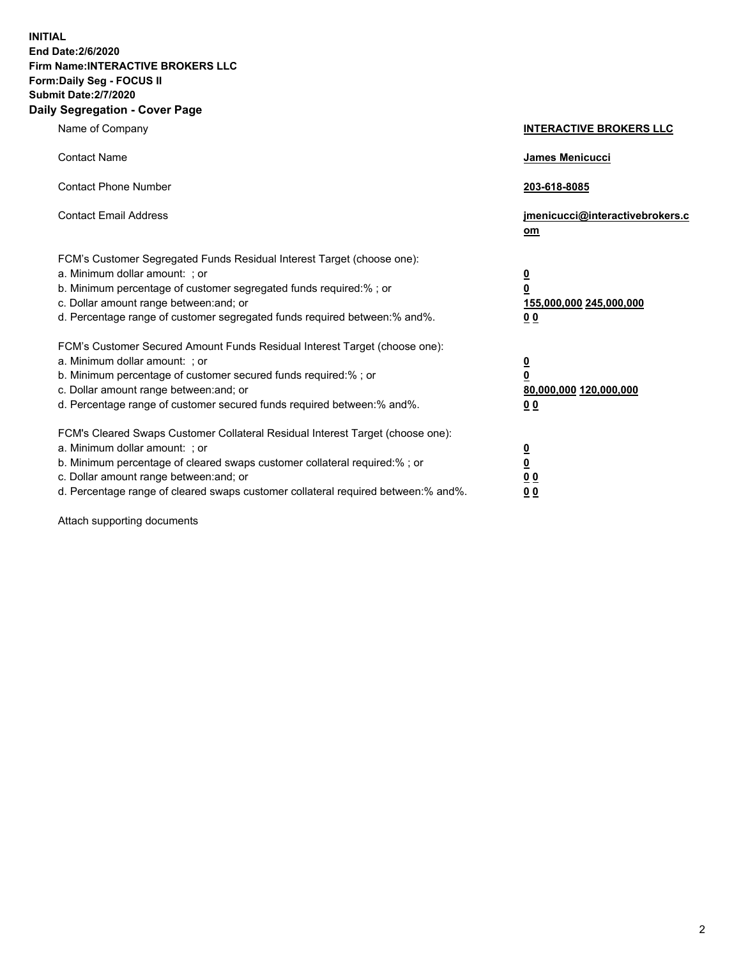**INITIAL End Date:2/6/2020 Firm Name:INTERACTIVE BROKERS LLC Form:Daily Seg - FOCUS II Submit Date:2/7/2020 Daily Segregation - Cover Page**

| Name of Company                                                                   | <b>INTERACTIVE BROKERS LLC</b>  |
|-----------------------------------------------------------------------------------|---------------------------------|
| <b>Contact Name</b>                                                               | <b>James Menicucci</b>          |
|                                                                                   |                                 |
| <b>Contact Phone Number</b>                                                       | 203-618-8085                    |
| <b>Contact Email Address</b>                                                      | jmenicucci@interactivebrokers.c |
|                                                                                   | om                              |
| FCM's Customer Segregated Funds Residual Interest Target (choose one):            |                                 |
| a. Minimum dollar amount: : or                                                    | $\overline{\mathbf{0}}$         |
| b. Minimum percentage of customer segregated funds required:% ; or                | $\overline{\mathbf{0}}$         |
| c. Dollar amount range between: and; or                                           | 155,000,000 245,000,000         |
| d. Percentage range of customer segregated funds required between: % and %.       | <u>00</u>                       |
| FCM's Customer Secured Amount Funds Residual Interest Target (choose one):        |                                 |
| a. Minimum dollar amount: ; or                                                    | $\overline{\mathbf{0}}$         |
| b. Minimum percentage of customer secured funds required:% ; or                   | $\overline{\mathbf{0}}$         |
| c. Dollar amount range between: and; or                                           | 80,000,000 120,000,000          |
| d. Percentage range of customer secured funds required between: % and %.          | 0 <sub>0</sub>                  |
| FCM's Cleared Swaps Customer Collateral Residual Interest Target (choose one):    |                                 |
| a. Minimum dollar amount: ; or                                                    | $\overline{\mathbf{0}}$         |
| b. Minimum percentage of cleared swaps customer collateral required:%; or         | $\overline{\mathbf{0}}$         |
| c. Dollar amount range between: and; or                                           | 0 <sub>0</sub>                  |
| d. Percentage range of cleared swaps customer collateral required between:% and%. | 0 <sub>0</sub>                  |

Attach supporting documents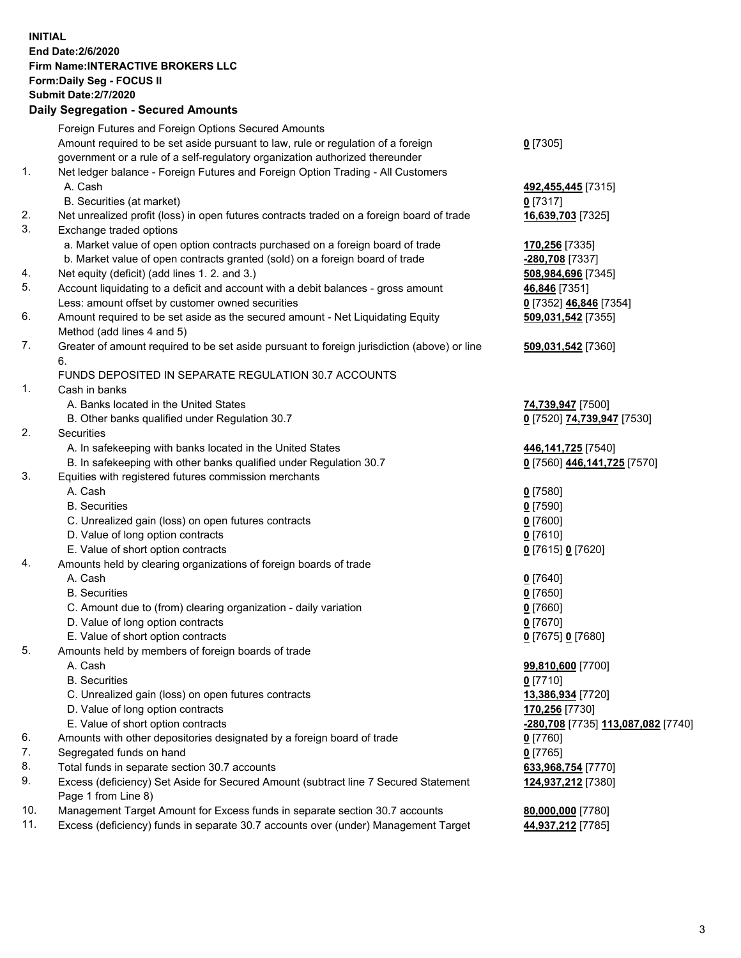## **INITIAL End Date:2/6/2020 Firm Name:INTERACTIVE BROKERS LLC Form:Daily Seg - FOCUS II Submit Date:2/7/2020 Daily Segregation - Secured Amounts**

| Foreign Futures and Foreign Options Secured Amounts<br>Amount required to be set aside pursuant to law, rule or regulation of a foreign | $0$ [7305]                                                                                                                                                                                                                                                                                                                                                                                                                                                                                                                                                                                                                                                                                                                                                                                                                                                                                                                                                                                                                                                                                                                                                                                                                                                                                                                                                                                                                                                                                                                                                                                                                                                                                                                                                                                  |
|-----------------------------------------------------------------------------------------------------------------------------------------|---------------------------------------------------------------------------------------------------------------------------------------------------------------------------------------------------------------------------------------------------------------------------------------------------------------------------------------------------------------------------------------------------------------------------------------------------------------------------------------------------------------------------------------------------------------------------------------------------------------------------------------------------------------------------------------------------------------------------------------------------------------------------------------------------------------------------------------------------------------------------------------------------------------------------------------------------------------------------------------------------------------------------------------------------------------------------------------------------------------------------------------------------------------------------------------------------------------------------------------------------------------------------------------------------------------------------------------------------------------------------------------------------------------------------------------------------------------------------------------------------------------------------------------------------------------------------------------------------------------------------------------------------------------------------------------------------------------------------------------------------------------------------------------------|
|                                                                                                                                         |                                                                                                                                                                                                                                                                                                                                                                                                                                                                                                                                                                                                                                                                                                                                                                                                                                                                                                                                                                                                                                                                                                                                                                                                                                                                                                                                                                                                                                                                                                                                                                                                                                                                                                                                                                                             |
|                                                                                                                                         |                                                                                                                                                                                                                                                                                                                                                                                                                                                                                                                                                                                                                                                                                                                                                                                                                                                                                                                                                                                                                                                                                                                                                                                                                                                                                                                                                                                                                                                                                                                                                                                                                                                                                                                                                                                             |
| government or a rule of a self-regulatory organization authorized thereunder                                                            |                                                                                                                                                                                                                                                                                                                                                                                                                                                                                                                                                                                                                                                                                                                                                                                                                                                                                                                                                                                                                                                                                                                                                                                                                                                                                                                                                                                                                                                                                                                                                                                                                                                                                                                                                                                             |
|                                                                                                                                         |                                                                                                                                                                                                                                                                                                                                                                                                                                                                                                                                                                                                                                                                                                                                                                                                                                                                                                                                                                                                                                                                                                                                                                                                                                                                                                                                                                                                                                                                                                                                                                                                                                                                                                                                                                                             |
| A. Cash                                                                                                                                 | 492,455,445 [7315]                                                                                                                                                                                                                                                                                                                                                                                                                                                                                                                                                                                                                                                                                                                                                                                                                                                                                                                                                                                                                                                                                                                                                                                                                                                                                                                                                                                                                                                                                                                                                                                                                                                                                                                                                                          |
| B. Securities (at market)                                                                                                               | $0$ [7317]                                                                                                                                                                                                                                                                                                                                                                                                                                                                                                                                                                                                                                                                                                                                                                                                                                                                                                                                                                                                                                                                                                                                                                                                                                                                                                                                                                                                                                                                                                                                                                                                                                                                                                                                                                                  |
| Net unrealized profit (loss) in open futures contracts traded on a foreign board of trade                                               | 16,639,703 [7325]                                                                                                                                                                                                                                                                                                                                                                                                                                                                                                                                                                                                                                                                                                                                                                                                                                                                                                                                                                                                                                                                                                                                                                                                                                                                                                                                                                                                                                                                                                                                                                                                                                                                                                                                                                           |
| Exchange traded options                                                                                                                 |                                                                                                                                                                                                                                                                                                                                                                                                                                                                                                                                                                                                                                                                                                                                                                                                                                                                                                                                                                                                                                                                                                                                                                                                                                                                                                                                                                                                                                                                                                                                                                                                                                                                                                                                                                                             |
| a. Market value of open option contracts purchased on a foreign board of trade                                                          | 170,256 [7335]                                                                                                                                                                                                                                                                                                                                                                                                                                                                                                                                                                                                                                                                                                                                                                                                                                                                                                                                                                                                                                                                                                                                                                                                                                                                                                                                                                                                                                                                                                                                                                                                                                                                                                                                                                              |
| b. Market value of open contracts granted (sold) on a foreign board of trade                                                            | -280,708 [7337]                                                                                                                                                                                                                                                                                                                                                                                                                                                                                                                                                                                                                                                                                                                                                                                                                                                                                                                                                                                                                                                                                                                                                                                                                                                                                                                                                                                                                                                                                                                                                                                                                                                                                                                                                                             |
|                                                                                                                                         | 508,984,696 [7345]                                                                                                                                                                                                                                                                                                                                                                                                                                                                                                                                                                                                                                                                                                                                                                                                                                                                                                                                                                                                                                                                                                                                                                                                                                                                                                                                                                                                                                                                                                                                                                                                                                                                                                                                                                          |
|                                                                                                                                         | 46,846 [7351]                                                                                                                                                                                                                                                                                                                                                                                                                                                                                                                                                                                                                                                                                                                                                                                                                                                                                                                                                                                                                                                                                                                                                                                                                                                                                                                                                                                                                                                                                                                                                                                                                                                                                                                                                                               |
|                                                                                                                                         | 0 [7352] 46,846 [7354]                                                                                                                                                                                                                                                                                                                                                                                                                                                                                                                                                                                                                                                                                                                                                                                                                                                                                                                                                                                                                                                                                                                                                                                                                                                                                                                                                                                                                                                                                                                                                                                                                                                                                                                                                                      |
| Amount required to be set aside as the secured amount - Net Liquidating Equity                                                          | 509,031,542 [7355]                                                                                                                                                                                                                                                                                                                                                                                                                                                                                                                                                                                                                                                                                                                                                                                                                                                                                                                                                                                                                                                                                                                                                                                                                                                                                                                                                                                                                                                                                                                                                                                                                                                                                                                                                                          |
| Method (add lines 4 and 5)                                                                                                              |                                                                                                                                                                                                                                                                                                                                                                                                                                                                                                                                                                                                                                                                                                                                                                                                                                                                                                                                                                                                                                                                                                                                                                                                                                                                                                                                                                                                                                                                                                                                                                                                                                                                                                                                                                                             |
|                                                                                                                                         | 509,031,542 [7360]                                                                                                                                                                                                                                                                                                                                                                                                                                                                                                                                                                                                                                                                                                                                                                                                                                                                                                                                                                                                                                                                                                                                                                                                                                                                                                                                                                                                                                                                                                                                                                                                                                                                                                                                                                          |
| 6.                                                                                                                                      |                                                                                                                                                                                                                                                                                                                                                                                                                                                                                                                                                                                                                                                                                                                                                                                                                                                                                                                                                                                                                                                                                                                                                                                                                                                                                                                                                                                                                                                                                                                                                                                                                                                                                                                                                                                             |
|                                                                                                                                         |                                                                                                                                                                                                                                                                                                                                                                                                                                                                                                                                                                                                                                                                                                                                                                                                                                                                                                                                                                                                                                                                                                                                                                                                                                                                                                                                                                                                                                                                                                                                                                                                                                                                                                                                                                                             |
| Cash in banks                                                                                                                           |                                                                                                                                                                                                                                                                                                                                                                                                                                                                                                                                                                                                                                                                                                                                                                                                                                                                                                                                                                                                                                                                                                                                                                                                                                                                                                                                                                                                                                                                                                                                                                                                                                                                                                                                                                                             |
| A. Banks located in the United States                                                                                                   | 74,739,947 [7500]                                                                                                                                                                                                                                                                                                                                                                                                                                                                                                                                                                                                                                                                                                                                                                                                                                                                                                                                                                                                                                                                                                                                                                                                                                                                                                                                                                                                                                                                                                                                                                                                                                                                                                                                                                           |
|                                                                                                                                         | 0 [7520] 74,739,947 [7530]                                                                                                                                                                                                                                                                                                                                                                                                                                                                                                                                                                                                                                                                                                                                                                                                                                                                                                                                                                                                                                                                                                                                                                                                                                                                                                                                                                                                                                                                                                                                                                                                                                                                                                                                                                  |
|                                                                                                                                         |                                                                                                                                                                                                                                                                                                                                                                                                                                                                                                                                                                                                                                                                                                                                                                                                                                                                                                                                                                                                                                                                                                                                                                                                                                                                                                                                                                                                                                                                                                                                                                                                                                                                                                                                                                                             |
|                                                                                                                                         | 446,141,725 [7540]                                                                                                                                                                                                                                                                                                                                                                                                                                                                                                                                                                                                                                                                                                                                                                                                                                                                                                                                                                                                                                                                                                                                                                                                                                                                                                                                                                                                                                                                                                                                                                                                                                                                                                                                                                          |
|                                                                                                                                         | 0 [7560] 446,141,725 [7570]                                                                                                                                                                                                                                                                                                                                                                                                                                                                                                                                                                                                                                                                                                                                                                                                                                                                                                                                                                                                                                                                                                                                                                                                                                                                                                                                                                                                                                                                                                                                                                                                                                                                                                                                                                 |
|                                                                                                                                         |                                                                                                                                                                                                                                                                                                                                                                                                                                                                                                                                                                                                                                                                                                                                                                                                                                                                                                                                                                                                                                                                                                                                                                                                                                                                                                                                                                                                                                                                                                                                                                                                                                                                                                                                                                                             |
|                                                                                                                                         | $0$ [7580]                                                                                                                                                                                                                                                                                                                                                                                                                                                                                                                                                                                                                                                                                                                                                                                                                                                                                                                                                                                                                                                                                                                                                                                                                                                                                                                                                                                                                                                                                                                                                                                                                                                                                                                                                                                  |
|                                                                                                                                         | $0$ [7590]                                                                                                                                                                                                                                                                                                                                                                                                                                                                                                                                                                                                                                                                                                                                                                                                                                                                                                                                                                                                                                                                                                                                                                                                                                                                                                                                                                                                                                                                                                                                                                                                                                                                                                                                                                                  |
|                                                                                                                                         | $0$ [7600]                                                                                                                                                                                                                                                                                                                                                                                                                                                                                                                                                                                                                                                                                                                                                                                                                                                                                                                                                                                                                                                                                                                                                                                                                                                                                                                                                                                                                                                                                                                                                                                                                                                                                                                                                                                  |
|                                                                                                                                         | $0$ [7610]                                                                                                                                                                                                                                                                                                                                                                                                                                                                                                                                                                                                                                                                                                                                                                                                                                                                                                                                                                                                                                                                                                                                                                                                                                                                                                                                                                                                                                                                                                                                                                                                                                                                                                                                                                                  |
|                                                                                                                                         | 0 [7615] 0 [7620]                                                                                                                                                                                                                                                                                                                                                                                                                                                                                                                                                                                                                                                                                                                                                                                                                                                                                                                                                                                                                                                                                                                                                                                                                                                                                                                                                                                                                                                                                                                                                                                                                                                                                                                                                                           |
|                                                                                                                                         |                                                                                                                                                                                                                                                                                                                                                                                                                                                                                                                                                                                                                                                                                                                                                                                                                                                                                                                                                                                                                                                                                                                                                                                                                                                                                                                                                                                                                                                                                                                                                                                                                                                                                                                                                                                             |
|                                                                                                                                         | $0$ [7640]                                                                                                                                                                                                                                                                                                                                                                                                                                                                                                                                                                                                                                                                                                                                                                                                                                                                                                                                                                                                                                                                                                                                                                                                                                                                                                                                                                                                                                                                                                                                                                                                                                                                                                                                                                                  |
|                                                                                                                                         | $0$ [7650]                                                                                                                                                                                                                                                                                                                                                                                                                                                                                                                                                                                                                                                                                                                                                                                                                                                                                                                                                                                                                                                                                                                                                                                                                                                                                                                                                                                                                                                                                                                                                                                                                                                                                                                                                                                  |
|                                                                                                                                         | $0$ [7660]                                                                                                                                                                                                                                                                                                                                                                                                                                                                                                                                                                                                                                                                                                                                                                                                                                                                                                                                                                                                                                                                                                                                                                                                                                                                                                                                                                                                                                                                                                                                                                                                                                                                                                                                                                                  |
|                                                                                                                                         | $0$ [7670]                                                                                                                                                                                                                                                                                                                                                                                                                                                                                                                                                                                                                                                                                                                                                                                                                                                                                                                                                                                                                                                                                                                                                                                                                                                                                                                                                                                                                                                                                                                                                                                                                                                                                                                                                                                  |
|                                                                                                                                         | 0 [7675] 0 [7680]                                                                                                                                                                                                                                                                                                                                                                                                                                                                                                                                                                                                                                                                                                                                                                                                                                                                                                                                                                                                                                                                                                                                                                                                                                                                                                                                                                                                                                                                                                                                                                                                                                                                                                                                                                           |
|                                                                                                                                         |                                                                                                                                                                                                                                                                                                                                                                                                                                                                                                                                                                                                                                                                                                                                                                                                                                                                                                                                                                                                                                                                                                                                                                                                                                                                                                                                                                                                                                                                                                                                                                                                                                                                                                                                                                                             |
|                                                                                                                                         | 99,810,600 [7700]                                                                                                                                                                                                                                                                                                                                                                                                                                                                                                                                                                                                                                                                                                                                                                                                                                                                                                                                                                                                                                                                                                                                                                                                                                                                                                                                                                                                                                                                                                                                                                                                                                                                                                                                                                           |
|                                                                                                                                         | $0$ [7710]                                                                                                                                                                                                                                                                                                                                                                                                                                                                                                                                                                                                                                                                                                                                                                                                                                                                                                                                                                                                                                                                                                                                                                                                                                                                                                                                                                                                                                                                                                                                                                                                                                                                                                                                                                                  |
|                                                                                                                                         | 13,386,934 [7720]                                                                                                                                                                                                                                                                                                                                                                                                                                                                                                                                                                                                                                                                                                                                                                                                                                                                                                                                                                                                                                                                                                                                                                                                                                                                                                                                                                                                                                                                                                                                                                                                                                                                                                                                                                           |
|                                                                                                                                         | 170,256 [7730]                                                                                                                                                                                                                                                                                                                                                                                                                                                                                                                                                                                                                                                                                                                                                                                                                                                                                                                                                                                                                                                                                                                                                                                                                                                                                                                                                                                                                                                                                                                                                                                                                                                                                                                                                                              |
|                                                                                                                                         | <u>-280,708</u> [7735] 113,087,082 [7740]                                                                                                                                                                                                                                                                                                                                                                                                                                                                                                                                                                                                                                                                                                                                                                                                                                                                                                                                                                                                                                                                                                                                                                                                                                                                                                                                                                                                                                                                                                                                                                                                                                                                                                                                                   |
|                                                                                                                                         | $0$ [7760]                                                                                                                                                                                                                                                                                                                                                                                                                                                                                                                                                                                                                                                                                                                                                                                                                                                                                                                                                                                                                                                                                                                                                                                                                                                                                                                                                                                                                                                                                                                                                                                                                                                                                                                                                                                  |
|                                                                                                                                         | $0$ [7765]                                                                                                                                                                                                                                                                                                                                                                                                                                                                                                                                                                                                                                                                                                                                                                                                                                                                                                                                                                                                                                                                                                                                                                                                                                                                                                                                                                                                                                                                                                                                                                                                                                                                                                                                                                                  |
|                                                                                                                                         | 633,968,754 [7770]                                                                                                                                                                                                                                                                                                                                                                                                                                                                                                                                                                                                                                                                                                                                                                                                                                                                                                                                                                                                                                                                                                                                                                                                                                                                                                                                                                                                                                                                                                                                                                                                                                                                                                                                                                          |
|                                                                                                                                         | 124,937,212 [7380]                                                                                                                                                                                                                                                                                                                                                                                                                                                                                                                                                                                                                                                                                                                                                                                                                                                                                                                                                                                                                                                                                                                                                                                                                                                                                                                                                                                                                                                                                                                                                                                                                                                                                                                                                                          |
|                                                                                                                                         |                                                                                                                                                                                                                                                                                                                                                                                                                                                                                                                                                                                                                                                                                                                                                                                                                                                                                                                                                                                                                                                                                                                                                                                                                                                                                                                                                                                                                                                                                                                                                                                                                                                                                                                                                                                             |
|                                                                                                                                         | 80,000,000 [7780]                                                                                                                                                                                                                                                                                                                                                                                                                                                                                                                                                                                                                                                                                                                                                                                                                                                                                                                                                                                                                                                                                                                                                                                                                                                                                                                                                                                                                                                                                                                                                                                                                                                                                                                                                                           |
|                                                                                                                                         | 44,937,212 [7785]                                                                                                                                                                                                                                                                                                                                                                                                                                                                                                                                                                                                                                                                                                                                                                                                                                                                                                                                                                                                                                                                                                                                                                                                                                                                                                                                                                                                                                                                                                                                                                                                                                                                                                                                                                           |
|                                                                                                                                         | Net ledger balance - Foreign Futures and Foreign Option Trading - All Customers<br>Net equity (deficit) (add lines 1.2. and 3.)<br>Account liquidating to a deficit and account with a debit balances - gross amount<br>Less: amount offset by customer owned securities<br>Greater of amount required to be set aside pursuant to foreign jurisdiction (above) or line<br>FUNDS DEPOSITED IN SEPARATE REGULATION 30.7 ACCOUNTS<br>B. Other banks qualified under Regulation 30.7<br>Securities<br>A. In safekeeping with banks located in the United States<br>B. In safekeeping with other banks qualified under Regulation 30.7<br>Equities with registered futures commission merchants<br>A. Cash<br><b>B.</b> Securities<br>C. Unrealized gain (loss) on open futures contracts<br>D. Value of long option contracts<br>E. Value of short option contracts<br>Amounts held by clearing organizations of foreign boards of trade<br>A. Cash<br><b>B.</b> Securities<br>C. Amount due to (from) clearing organization - daily variation<br>D. Value of long option contracts<br>E. Value of short option contracts<br>Amounts held by members of foreign boards of trade<br>A. Cash<br><b>B.</b> Securities<br>C. Unrealized gain (loss) on open futures contracts<br>D. Value of long option contracts<br>E. Value of short option contracts<br>Amounts with other depositories designated by a foreign board of trade<br>Segregated funds on hand<br>Total funds in separate section 30.7 accounts<br>Excess (deficiency) Set Aside for Secured Amount (subtract line 7 Secured Statement<br>Page 1 from Line 8)<br>Management Target Amount for Excess funds in separate section 30.7 accounts<br>Excess (deficiency) funds in separate 30.7 accounts over (under) Management Target |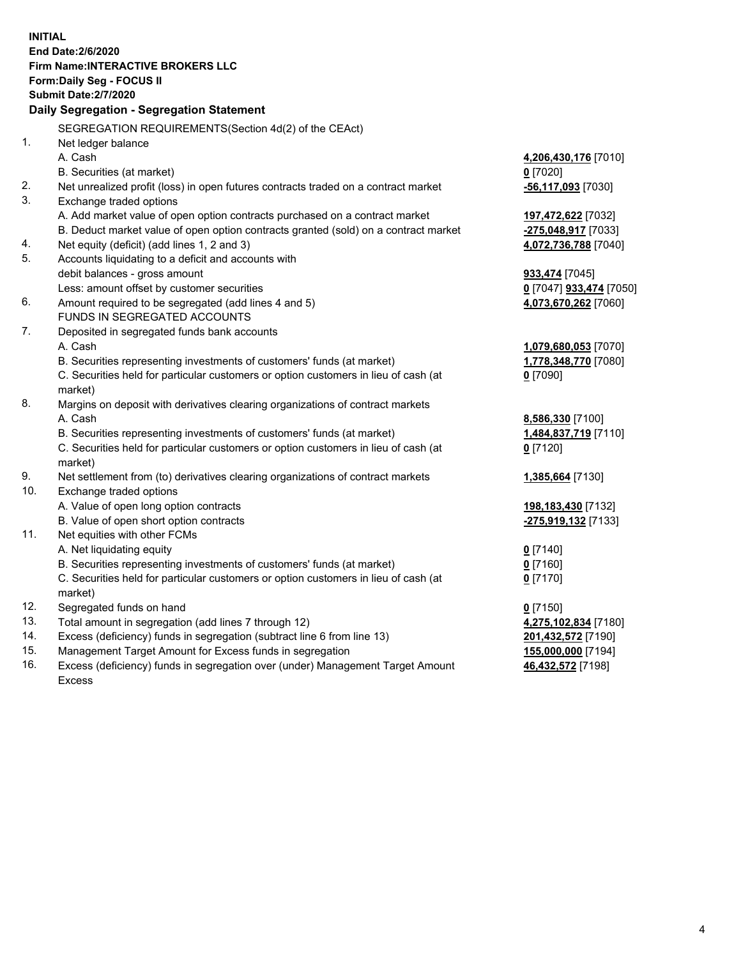|     | <b>INITIAL</b>                                                                      |                                       |
|-----|-------------------------------------------------------------------------------------|---------------------------------------|
|     | End Date: 2/6/2020                                                                  |                                       |
|     | <b>Firm Name:INTERACTIVE BROKERS LLC</b>                                            |                                       |
|     | Form: Daily Seg - FOCUS II                                                          |                                       |
|     | <b>Submit Date: 2/7/2020</b>                                                        |                                       |
|     | Daily Segregation - Segregation Statement                                           |                                       |
|     | SEGREGATION REQUIREMENTS(Section 4d(2) of the CEAct)                                |                                       |
| 1.  | Net ledger balance                                                                  |                                       |
|     | A. Cash                                                                             | 4,206,430,176 [7010]                  |
|     | B. Securities (at market)                                                           | $0$ [7020]                            |
| 2.  | Net unrealized profit (loss) in open futures contracts traded on a contract market  | -56,117,093 [7030]                    |
| 3.  | Exchange traded options                                                             |                                       |
|     | A. Add market value of open option contracts purchased on a contract market         | 197,472,622 [7032]                    |
|     | B. Deduct market value of open option contracts granted (sold) on a contract market | -275,048,917 [7033]                   |
| 4.  | Net equity (deficit) (add lines 1, 2 and 3)                                         | 4,072,736,788 [7040]                  |
| 5.  | Accounts liquidating to a deficit and accounts with                                 |                                       |
|     | debit balances - gross amount                                                       | 933,474 [7045]                        |
|     | Less: amount offset by customer securities                                          | <u>0</u> [7047] <b>933,474</b> [7050] |
| 6.  | Amount required to be segregated (add lines 4 and 5)                                | 4,073,670,262 [7060]                  |
|     | FUNDS IN SEGREGATED ACCOUNTS                                                        |                                       |
| 7.  | Deposited in segregated funds bank accounts                                         |                                       |
|     | A. Cash                                                                             | 1,079,680,053 [7070]                  |
|     | B. Securities representing investments of customers' funds (at market)              | 1,778,348,770 [7080]                  |
|     | C. Securities held for particular customers or option customers in lieu of cash (at | $0$ [7090]                            |
|     | market)                                                                             |                                       |
| 8.  | Margins on deposit with derivatives clearing organizations of contract markets      |                                       |
|     | A. Cash                                                                             | 8,586,330 [7100]                      |
|     | B. Securities representing investments of customers' funds (at market)              | 1,484,837,719 [7110]                  |
|     | C. Securities held for particular customers or option customers in lieu of cash (at | $0$ [7120]                            |
|     | market)                                                                             |                                       |
| 9.  | Net settlement from (to) derivatives clearing organizations of contract markets     | 1,385,664 [7130]                      |
| 10. | Exchange traded options                                                             |                                       |
|     | A. Value of open long option contracts                                              | 198,183,430 [7132]                    |
|     | B. Value of open short option contracts                                             | -275,919,132 [7133]                   |
| 11. | Net equities with other FCMs                                                        |                                       |
|     | A. Net liquidating equity                                                           | $0$ [7140]                            |
|     | B. Securities representing investments of customers' funds (at market)              | $0$ [7160]                            |
|     | C. Securities held for particular customers or option customers in lieu of cash (at | $0$ [7170]                            |
| 12. | market)                                                                             |                                       |
| 13. | Segregated funds on hand<br>Total amount in segregation (add lines 7 through 12)    | $0$ [7150]<br>4,275,102,834 [7180]    |
| 14. | Excess (deficiency) funds in segregation (subtract line 6 from line 13)             | 201,432,572 [7190]                    |
| 15. | Management Target Amount for Excess funds in segregation                            | 155,000,000 [7194]                    |
| 16. | Excess (deficiency) funds in segregation over (under) Management Target Amount      | 46,432,572 [7198]                     |
|     |                                                                                     |                                       |

16. Excess (deficiency) funds in segregation over (under) Management Target Amount Excess